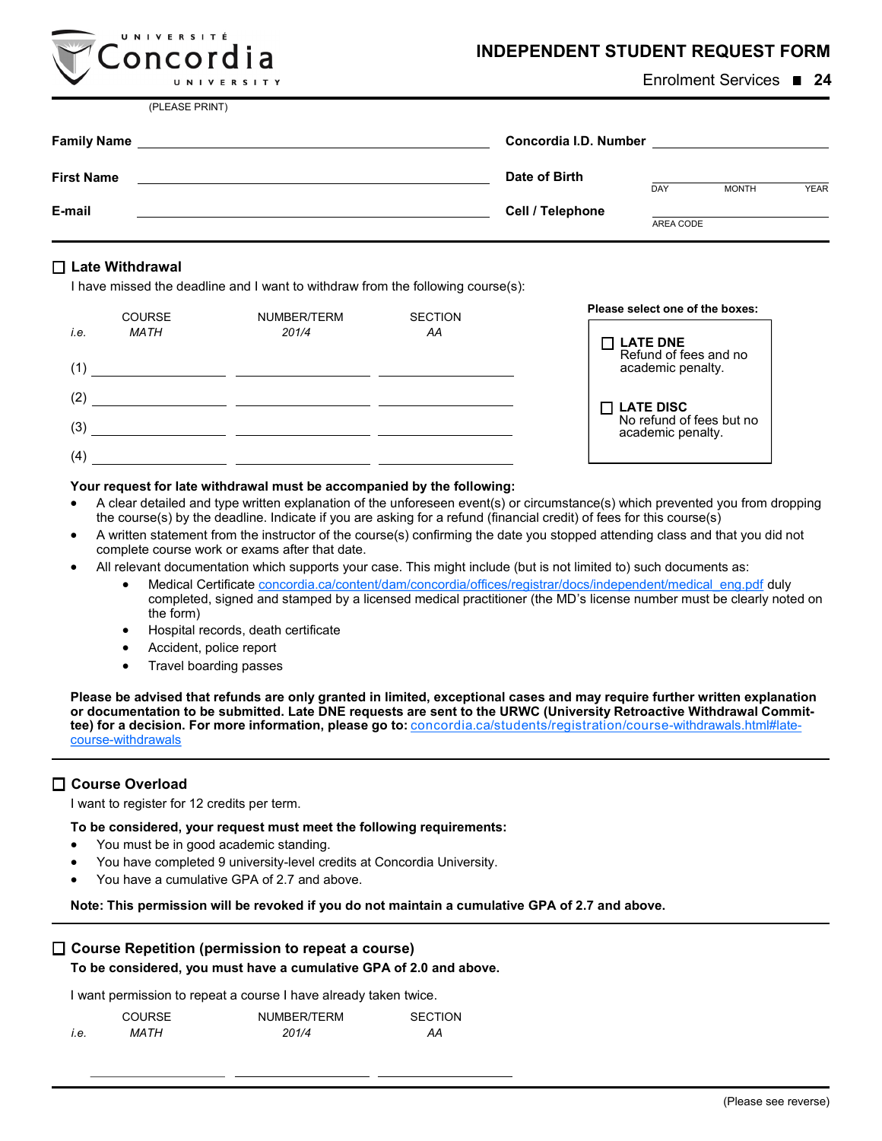| <b>INDEPENDENT STUDENT REQUEST FORM</b> |  |  |  |
|-----------------------------------------|--|--|--|
|-----------------------------------------|--|--|--|

| ----------<br>UNIVERSITY                                                                                                                  | Enrolment Services ■ 24                             |  |
|-------------------------------------------------------------------------------------------------------------------------------------------|-----------------------------------------------------|--|
| (PLEASE PRINT)                                                                                                                            |                                                     |  |
| <b>Family Name</b><br><u> 1980 - Jan Samuel Barbara, martin a shekara 1980 - An tsara 1980 - An tsara 1980 - An tsara 1980 - An tsara</u> | Concordia I.D. Number Concordia I.D.                |  |
| <b>First Name</b>                                                                                                                         | Date of Birth<br><b>YEAR</b><br>DAY<br><b>MONTH</b> |  |
| E-mail                                                                                                                                    | Cell / Telephone<br>AREA CODE                       |  |

## **Late Withdrawal**

UNIVERSITÉ  $Concordia$ 

I have missed the deadline and I want to withdraw from the following course(s):

|      | <b>COURSE</b> | NUMBER/TERM | <b>SECTION</b> | Please select one of the boxes:          |
|------|---------------|-------------|----------------|------------------------------------------|
| i.e. | <b>MATH</b>   | 201/4       | AA             | <b>LATE DNE</b><br>Refund of fees and no |
| (1)  |               |             |                | academic penalty.                        |
| (2)  |               |             |                | □ LATE DISC<br>No refund of fees but no  |
| (3)  |               |             |                | academic penalty.                        |
| (4)  |               |             |                |                                          |

#### **Your request for late withdrawal must be accompanied by the following:**

- A clear detailed and type written explanation of the unforeseen event(s) or circumstance(s) which prevented you from dropping the course(s) by the deadline. Indicate if you are asking for a refund (financial credit) of fees for this course(s)
- A written statement from the instructor of the course(s) confirming the date you stopped attending class and that you did not complete course work or exams after that date.
- All relevant documentation which supports your case. This might include (but is not limited to) such documents as:
	- Medical Certificate [concordia.ca/content/dam/concordia/offices/registrar/docs/independent/medical\\_eng.pdf](http://www.concordia.ca/content/dam/concordia/offices/registrar/docs/independent/medical_eng.pdf) duly completed, signed and stamped by a licensed medical practitioner (the MD's license number must be clearly noted on the form)
	- Hospital records, death certificate
	- Accident, police report
	- Travel boarding passes

**Please be advised that refunds are only granted in limited, exceptional cases and may require further written explanation or documentation to be submitted. Late DNE requests are sent to the URWC (University Retroactive Withdrawal Committee) for a decision. For more information, please go to:** [concordia.ca/students/registration/course](http://www.concordia.ca/students/registration/course-withdrawals.html#late-course-withdrawals)-withdrawals.html#latecourse-[withdrawals](http://www.concordia.ca/students/registration/course-withdrawals.html#late-course-withdrawals)

## **Course Overload**

I want to register for 12 credits per term.

**To be considered, your request must meet the following requirements:**

- You must be in good academic standing.
- You have completed 9 university-level credits at Concordia University.
- You have a cumulative GPA of 2.7 and above.

**Note: This permission will be revoked if you do not maintain a cumulative GPA of 2.7 and above.**

## **Course Repetition (permission to repeat a course)**

**To be considered, you must have a cumulative GPA of 2.0 and above.**

I want permission to repeat a course I have already taken twice.

|             | <b>COURSE</b> | NUMBER/TERM | <b>SECTION</b> |
|-------------|---------------|-------------|----------------|
| <i>i.e.</i> | MA TH         | 201/4       | ΑА             |